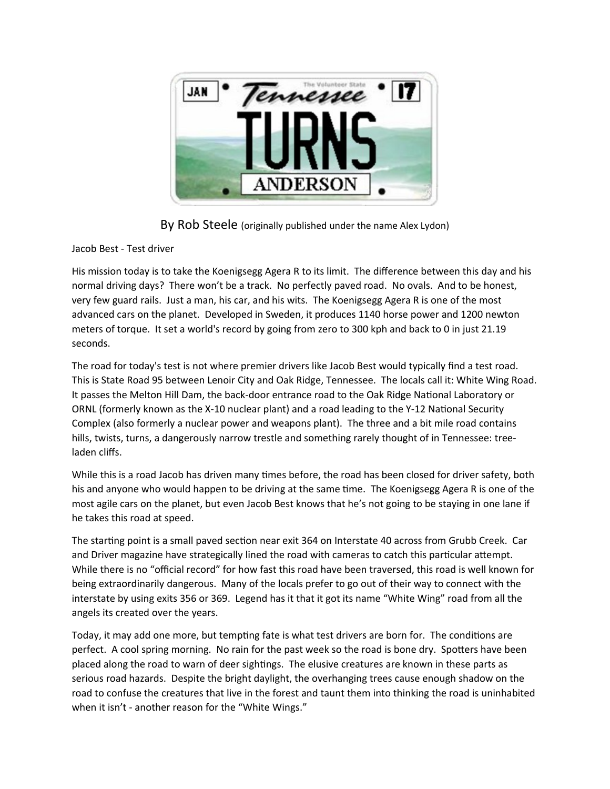

By Rob Steele (originally published under the name Alex Lydon)

## Jacob Best - Test driver

His mission today is to take the Koenigsegg Agera R to its limit. The difference between this day and his normal driving days? There won't be a track. No perfectly paved road. No ovals. And to be honest, very few guard rails. Just a man, his car, and his wits. The Koenigsegg Agera R is one of the most advanced cars on the planet. Developed in Sweden, it produces 1140 horse power and 1200 newton meters of torque. It set a world's record by going from zero to 300 kph and back to 0 in just 21.19 seconds.

The road for today's test is not where premier drivers like Jacob Best would typically find a test road. This is State Road 95 between Lenoir City and Oak Ridge, Tennessee. The locals call it: White Wing Road. It passes the Melton Hill Dam, the back-door entrance road to the Oak Ridge National Laboratory or ORNL (formerly known as the X-10 nuclear plant) and a road leading to the Y-12 National Security Complex (also formerly a nuclear power and weapons plant). The three and a bit mile road contains hills, twists, turns, a dangerously narrow trestle and something rarely thought of in Tennessee: treeladen cliffs.

While this is a road Jacob has driven many times before, the road has been closed for driver safety, both his and anyone who would happen to be driving at the same time. The Koenigsegg Agera R is one of the most agile cars on the planet, but even Jacob Best knows that he's not going to be staying in one lane if he takes this road at speed.

The starting point is a small paved section near exit 364 on Interstate 40 across from Grubb Creek. Car and Driver magazine have strategically lined the road with cameras to catch this particular attempt. While there is no "official record" for how fast this road have been traversed, this road is well known for being extraordinarily dangerous. Many of the locals prefer to go out of their way to connect with the interstate by using exits 356 or 369. Legend has it that it got its name "White Wing" road from all the angels its created over the years.

Today, it may add one more, but tempting fate is what test drivers are born for. The conditions are perfect. A cool spring morning. No rain for the past week so the road is bone dry. Spotters have been placed along the road to warn of deer sightings. The elusive creatures are known in these parts as serious road hazards. Despite the bright daylight, the overhanging trees cause enough shadow on the road to confuse the creatures that live in the forest and taunt them into thinking the road is uninhabited when it isn't - another reason for the "White Wings."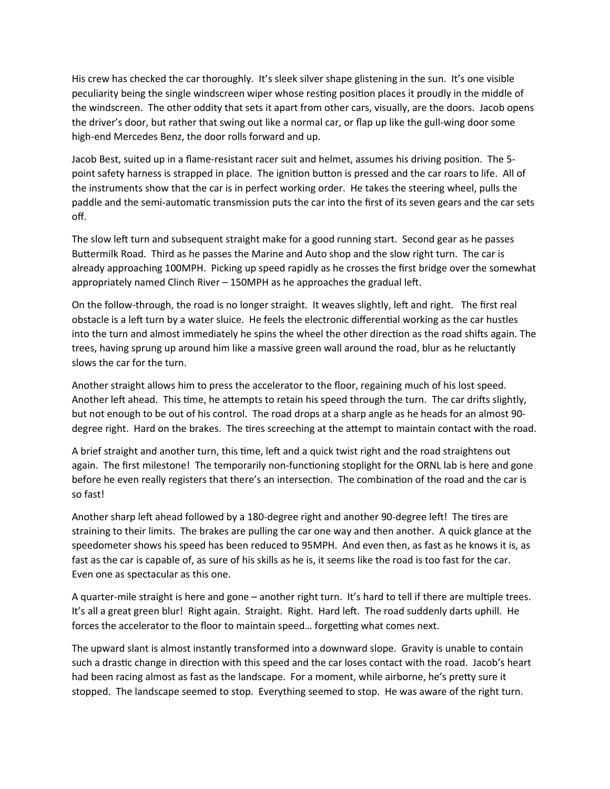His crew has checked the car thoroughly. It's sleek silver shape glistening in the sun. It's one visible peculiarity being the single windscreen wiper whose resting position places it proudly in the middle of the windscreen. The other oddity that sets it apart from other cars, visually, are the doors. Jacob opens the driver's door, but rather that swing out like a normal car, or flap up like the gull-wing door some high-end Mercedes Benz, the door rolls forward and up.

Jacob Best, suited up in a flame-resistant racer suit and helmet, assumes his driving position. The 5 point safety harness is strapped in place. The ignition button is pressed and the car roars to life. All of the instruments show that the car is in perfect working order. He takes the steering wheel, pulls the paddle and the semi-automatic transmission puts the car into the first of its seven gears and the car sets off.

The slow left turn and subsequent straight make for a good running start. Second gear as he passes Buttermilk Road. Third as he passes the Marine and Auto shop and the slow right turn. The car is already approaching 100MPH. Picking up speed rapidly as he crosses the first bridge over the somewhat appropriately named Clinch River – 150MPH as he approaches the gradual left.

On the follow-through, the road is no longer straight. It weaves slightly, left and right. The first real obstacle is a left turn by a water sluice. He feels the electronic differential working as the car hustles into the turn and almost immediately he spins the wheel the other direction as the road shifts again. The trees, having sprung up around him like a massive green wall around the road, blur as he reluctantly slows the car for the turn.

Another straight allows him to press the accelerator to the floor, regaining much of his lost speed. Another left ahead. This time, he attempts to retain his speed through the turn. The car drifts slightly, but not enough to be out of his control. The road drops at a sharp angle as he heads for an almost 90 degree right. Hard on the brakes. The tires screeching at the attempt to maintain contact with the road.

A brief straight and another turn, this time, left and a quick twist right and the road straightens out again. The first milestone! The temporarily non-functioning stoplight for the ORNL lab is here and gone before he even really registers that there's an intersection. The combination of the road and the car is so fast!

Another sharp left ahead followed by a 180-degree right and another 90-degree left! The tires are straining to their limits. The brakes are pulling the car one way and then another. A quick glance at the speedometer shows his speed has been reduced to 95MPH. And even then, as fast as he knows it is, as fast as the car is capable of, as sure of his skills as he is, it seems like the road is too fast for the car. Even one as spectacular as this one.

A quarter-mile straight is here and gone – another right turn. It's hard to tell if there are multiple trees. It's all a great green blur! Right again. Straight. Right. Hard left. The road suddenly darts uphill. He forces the accelerator to the floor to maintain speed… forgetting what comes next.

The upward slant is almost instantly transformed into a downward slope. Gravity is unable to contain such a drastic change in direction with this speed and the car loses contact with the road. Jacob's heart had been racing almost as fast as the landscape. For a moment, while airborne, he's pretty sure it stopped. The landscape seemed to stop. Everything seemed to stop. He was aware of the right turn.